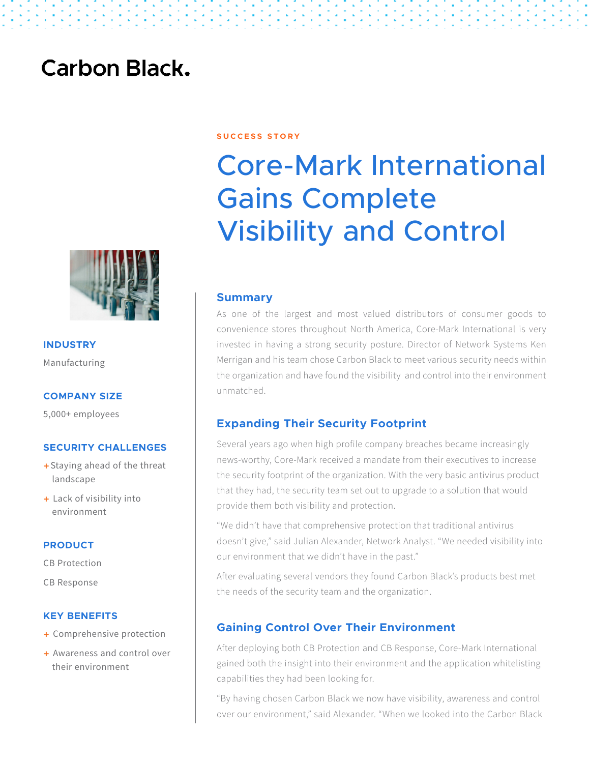## **Carbon Black.**



**INDUSTRY** Manufacturing

#### **COMPANY SIZE**

5,000+ employees

#### **SECURITY CHALLENGES**

- + Staying ahead of the threat landscape
- + Lack of visibility into environment

#### **PRODUCT**

CB Protection

CB Response

#### **KEY BENEFITS**

- + Comprehensive protection
- + Awareness and control over their environment

#### **S U C C E S S S T O R Y**

# Core-Mark International Gains Complete Visibility and Control

#### **Summary**

As one of the largest and most valued distributors of consumer goods to convenience stores throughout North America, Core-Mark International is very invested in having a strong security posture. Director of Network Systems Ken Merrigan and his team chose Carbon Black to meet various security needs within the organization and have found the visibility and control into their environment unmatched.

#### **Expanding Their Security Footprint**

Several years ago when high profile company breaches became increasingly news-worthy, Core-Mark received a mandate from their executives to increase the security footprint of the organization. With the very basic antivirus product that they had, the security team set out to upgrade to a solution that would provide them both visibility and protection.

"We didn't have that comprehensive protection that traditional antivirus doesn't give," said Julian Alexander, Network Analyst. "We needed visibility into our environment that we didn't have in the past."

After evaluating several vendors they found Carbon Black's products best met the needs of the security team and the organization.

#### **Gaining Control Over Their Environment**

After deploying both CB Protection and CB Response, Core-Mark International gained both the insight into their environment and the application whitelisting capabilities they had been looking for.

"By having chosen Carbon Black we now have visibility, awareness and control over our environment," said Alexander. "When we looked into the Carbon Black